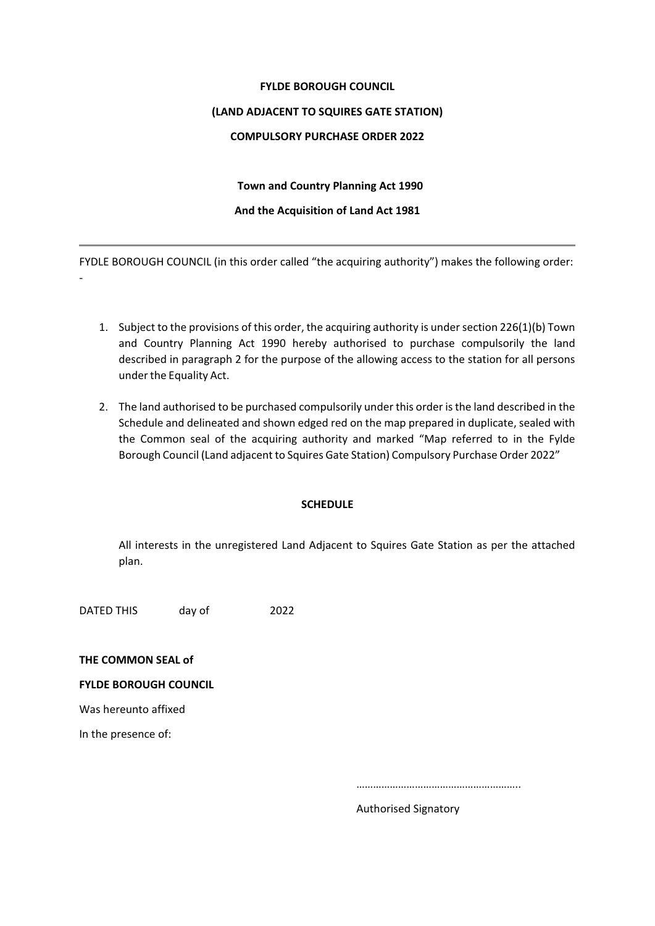#### **FYLDE BOROUGH COUNCIL**

## **(LAND ADJACENT TO SQUIRES GATE STATION)**

## **COMPULSORY PURCHASE ORDER 2022**

# **Town and Country Planning Act 1990**

## **And the Acquisition of Land Act 1981**

FYDLE BOROUGH COUNCIL (in this order called "the acquiring authority") makes the following order:

- 1. Subject to the provisions of this order, the acquiring authority is undersection 226(1)(b) Town and Country Planning Act 1990 hereby authorised to purchase compulsorily the land described in paragraph 2 for the purpose of the allowing access to the station for all persons under the Equality Act.
- 2. The land authorised to be purchased compulsorily under this order isthe land described in the Schedule and delineated and shown edged red on the map prepared in duplicate, sealed with the Common seal of the acquiring authority and marked "Map referred to in the Fylde Borough Council (Land adjacent to Squires Gate Station) Compulsory Purchase Order 2022"

## **SCHEDULE**

All interests in the unregistered Land Adjacent to Squires Gate Station as per the attached plan.

DATED THIS day of 2022

## **THE COMMON SEAL of**

‐

## **FYLDE BOROUGH COUNCIL**

Was hereunto affixed

In the presence of:

…………………………………………………..

Authorised Signatory